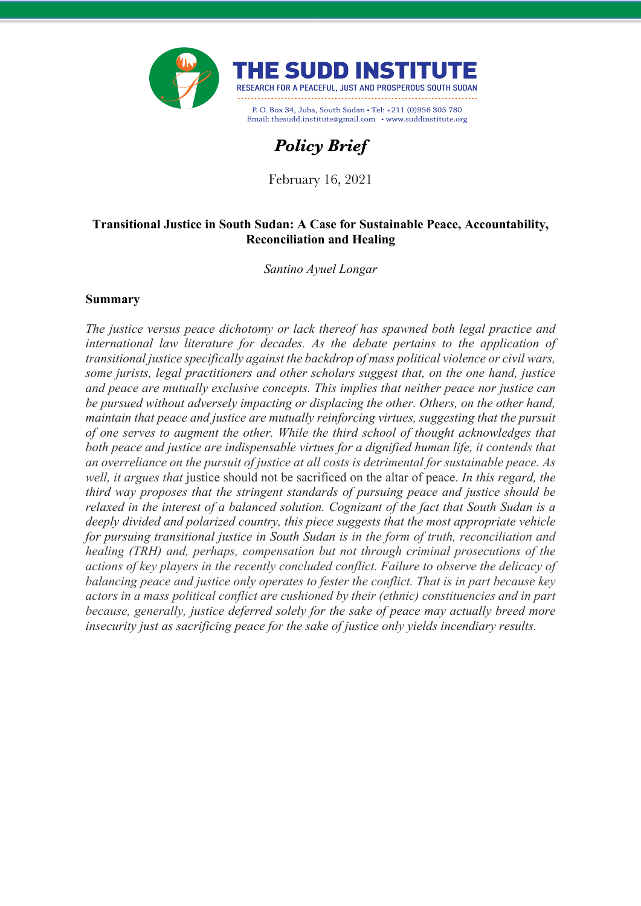

# *Policy Brief*

February 16, 2021

## **Transitional Justice in South Sudan: A Case for Sustainable Peace, Accountability, Reconciliation and Healing**

*Santino Ayuel Longar*

#### **Summary**

*The justice versus peace dichotomy or lack thereof has spawned both legal practice and international law literature for decades. As the debate pertains to the application of transitional justice specifically against the backdrop of mass political violence or civil wars, some jurists, legal practitioners and other scholars suggest that, on the one hand, justice and peace are mutually exclusive concepts. This implies that neither peace nor justice can be pursued without adversely impacting or displacing the other. Others, on the other hand, maintain that peace and justice are mutually reinforcing virtues, suggesting that the pursuit of one serves to augment the other. While the third school of thought acknowledges that both peace and justice are indispensable virtues for a dignified human life, it contends that an overreliance on the pursuit of justice at all costs is detrimental for sustainable peace. As well, it argues that* justice should not be sacrificed on the altar of peace. *In this regard, the third way proposes that the stringent standards of pursuing peace and justice should be relaxed in the interest of a balanced solution. Cognizant of the fact that South Sudan is a deeply divided and polarized country, this piece suggests that the most appropriate vehicle for pursuing transitional justice in South Sudan is in the form of truth, reconciliation and healing (TRH) and, perhaps, compensation but not through criminal prosecutions of the actions of key players in the recently concluded conflict. Failure to observe the delicacy of balancing peace and justice only operates to fester the conflict. That is in part because key actors in a mass political conflict are cushioned by their (ethnic) constituencies and in part because, generally, justice deferred solely for the sake of peace may actually breed more insecurity just as sacrificing peace for the sake of justice only yields incendiary results.*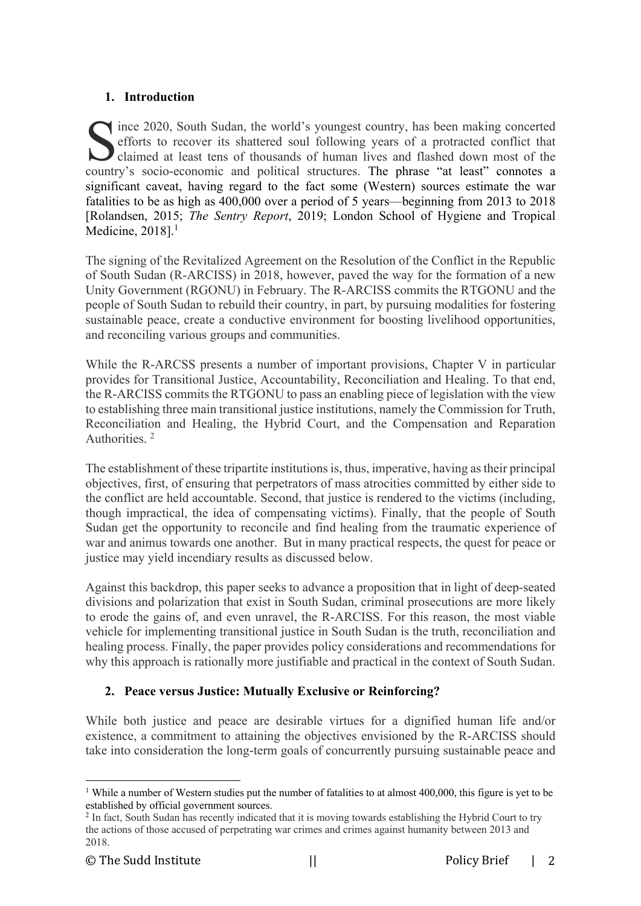# **1. Introduction**

ince 2020, South Sudan, the world's youngest country, has been making concerted efforts to recover its shattered soul following years of a protracted conflict that claimed at least tens of thousands of human lives and flashed down most of the socio-economic and political structures. The phrase "at least" connotes a country's socio-economic and political structures. The phrase "at least" connotes a significant caveat, having regard to the fact some (Western) sources estimate the war fatalities to be as high as 400,000 over a period of 5 years—beginning from 2013 to 2018 [Rolandsen, 2015; *The Sentry Report*, 2019; London School of Hygiene and Tropical Medicine,  $2018$ <sup>1</sup>.

The signing of the Revitalized Agreement on the Resolution of the Conflict in the Republic of South Sudan (R-ARCISS) in 2018, however, paved the way for the formation of a new Unity Government (RGONU) in February. The R-ARCISS commits the RTGONU and the people of South Sudan to rebuild their country, in part, by pursuing modalities for fostering sustainable peace, create a conductive environment for boosting livelihood opportunities, and reconciling various groups and communities.

While the R-ARCSS presents a number of important provisions, Chapter V in particular provides for Transitional Justice, Accountability, Reconciliation and Healing. To that end, the R-ARCISS commits the RTGONU to pass an enabling piece of legislation with the view to establishing three main transitional justice institutions, namely the Commission for Truth, Reconciliation and Healing, the Hybrid Court, and the Compensation and Reparation Authorities. 2

The establishment of these tripartite institutions is, thus, imperative, having as their principal objectives, first, of ensuring that perpetrators of mass atrocities committed by either side to the conflict are held accountable. Second, that justice is rendered to the victims (including, though impractical, the idea of compensating victims). Finally, that the people of South Sudan get the opportunity to reconcile and find healing from the traumatic experience of war and animus towards one another. But in many practical respects, the quest for peace or justice may yield incendiary results as discussed below.

Against this backdrop, this paper seeks to advance a proposition that in light of deep-seated divisions and polarization that exist in South Sudan, criminal prosecutions are more likely to erode the gains of, and even unravel, the R-ARCISS. For this reason, the most viable vehicle for implementing transitional justice in South Sudan is the truth, reconciliation and healing process. Finally, the paper provides policy considerations and recommendations for why this approach is rationally more justifiable and practical in the context of South Sudan.

# **2. Peace versus Justice: Mutually Exclusive or Reinforcing?**

While both justice and peace are desirable virtues for a dignified human life and/or existence, a commitment to attaining the objectives envisioned by the R-ARCISS should take into consideration the long-term goals of concurrently pursuing sustainable peace and

<sup>&</sup>lt;sup>1</sup> While a number of Western studies put the number of fatalities to at almost 400,000, this figure is yet to be established by official government sources.

<sup>&</sup>lt;sup>2</sup> In fact, South Sudan has recently indicated that it is moving towards establishing the Hybrid Court to try the actions of those accused of perpetrating war crimes and crimes against humanity between 2013 and 2018.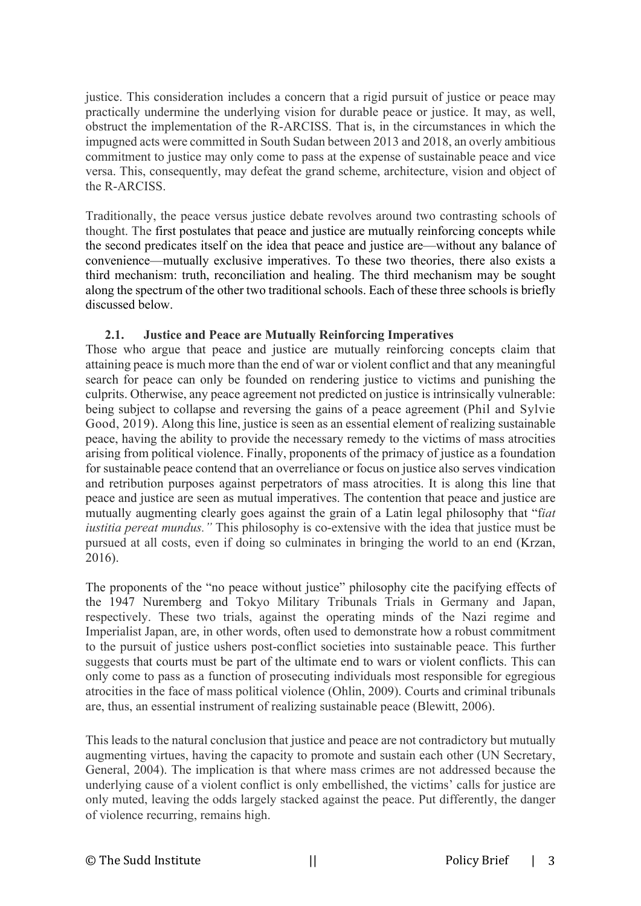justice. This consideration includes a concern that a rigid pursuit of justice or peace may practically undermine the underlying vision for durable peace or justice. It may, as well, obstruct the implementation of the R-ARCISS. That is, in the circumstances in which the impugned acts were committed in South Sudan between 2013 and 2018, an overly ambitious commitment to justice may only come to pass at the expense of sustainable peace and vice versa. This, consequently, may defeat the grand scheme, architecture, vision and object of the R-ARCISS.

Traditionally, the peace versus justice debate revolves around two contrasting schools of thought. The first postulates that peace and justice are mutually reinforcing concepts while the second predicates itself on the idea that peace and justice are—without any balance of convenience—mutually exclusive imperatives. To these two theories, there also exists a third mechanism: truth, reconciliation and healing. The third mechanism may be sought along the spectrum of the other two traditional schools. Each of these three schools is briefly discussed below.

## **2.1. Justice and Peace are Mutually Reinforcing Imperatives**

Those who argue that peace and justice are mutually reinforcing concepts claim that attaining peace is much more than the end of war or violent conflict and that any meaningful search for peace can only be founded on rendering justice to victims and punishing the culprits. Otherwise, any peace agreement not predicted on justice is intrinsically vulnerable: being subject to collapse and reversing the gains of a peace agreement (Phil and Sylvie Good, 2019). Along this line, justice is seen as an essential element of realizing sustainable peace, having the ability to provide the necessary remedy to the victims of mass atrocities arising from political violence. Finally, proponents of the primacy of justice as a foundation for sustainable peace contend that an overreliance or focus on justice also serves vindication and retribution purposes against perpetrators of mass atrocities. It is along this line that peace and justice are seen as mutual imperatives. The contention that peace and justice are mutually augmenting clearly goes against the grain of a Latin legal philosophy that "f*iat iustitia pereat mundus."* This philosophy is co-extensive with the idea that justice must be pursued at all costs, even if doing so culminates in bringing the world to an end (Krzan, 2016).

The proponents of the "no peace without justice" philosophy cite the pacifying effects of the 1947 Nuremberg and Tokyo Military Tribunals Trials in Germany and Japan, respectively. These two trials, against the operating minds of the Nazi regime and Imperialist Japan, are, in other words, often used to demonstrate how a robust commitment to the pursuit of justice ushers post-conflict societies into sustainable peace. This further suggests that courts must be part of the ultimate end to wars or violent conflicts. This can only come to pass as a function of prosecuting individuals most responsible for egregious atrocities in the face of mass political violence (Ohlin, 2009). Courts and criminal tribunals are, thus, an essential instrument of realizing sustainable peace (Blewitt, 2006).

This leads to the natural conclusion that justice and peace are not contradictory but mutually augmenting virtues, having the capacity to promote and sustain each other (UN Secretary, General, 2004). The implication is that where mass crimes are not addressed because the underlying cause of a violent conflict is only embellished, the victims' calls for justice are only muted, leaving the odds largely stacked against the peace. Put differently, the danger of violence recurring, remains high.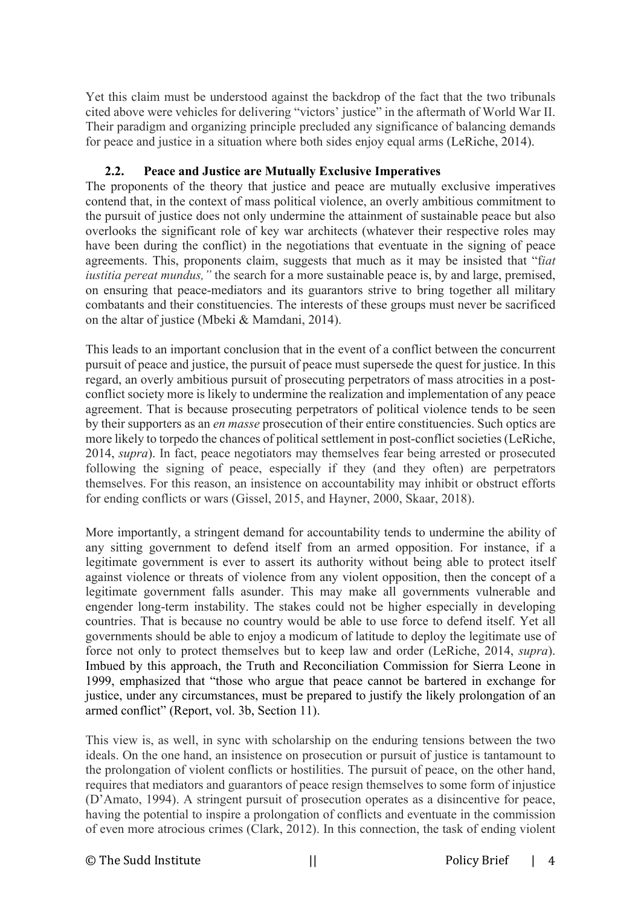Yet this claim must be understood against the backdrop of the fact that the two tribunals cited above were vehicles for delivering "victors' justice" in the aftermath of World War II. Their paradigm and organizing principle precluded any significance of balancing demands for peace and justice in a situation where both sides enjoy equal arms (LeRiche, 2014).

# **2.2. Peace and Justice are Mutually Exclusive Imperatives**

The proponents of the theory that justice and peace are mutually exclusive imperatives contend that, in the context of mass political violence, an overly ambitious commitment to the pursuit of justice does not only undermine the attainment of sustainable peace but also overlooks the significant role of key war architects (whatever their respective roles may have been during the conflict) in the negotiations that eventuate in the signing of peace agreements. This, proponents claim, suggests that much as it may be insisted that "f*iat iustitia pereat mundus,"* the search for a more sustainable peace is, by and large, premised, on ensuring that peace-mediators and its guarantors strive to bring together all military combatants and their constituencies. The interests of these groups must never be sacrificed on the altar of justice (Mbeki & Mamdani, 2014).

This leads to an important conclusion that in the event of a conflict between the concurrent pursuit of peace and justice, the pursuit of peace must supersede the quest for justice. In this regard, an overly ambitious pursuit of prosecuting perpetrators of mass atrocities in a postconflict society more is likely to undermine the realization and implementation of any peace agreement. That is because prosecuting perpetrators of political violence tends to be seen by their supporters as an *en masse* prosecution of their entire constituencies. Such optics are more likely to torpedo the chances of political settlement in post-conflict societies (LeRiche, 2014, *supra*). In fact, peace negotiators may themselves fear being arrested or prosecuted following the signing of peace, especially if they (and they often) are perpetrators themselves. For this reason, an insistence on accountability may inhibit or obstruct efforts for ending conflicts or wars (Gissel, 2015, and Hayner, 2000, Skaar, 2018).

More importantly, a stringent demand for accountability tends to undermine the ability of any sitting government to defend itself from an armed opposition. For instance, if a legitimate government is ever to assert its authority without being able to protect itself against violence or threats of violence from any violent opposition, then the concept of a legitimate government falls asunder. This may make all governments vulnerable and engender long-term instability. The stakes could not be higher especially in developing countries. That is because no country would be able to use force to defend itself. Yet all governments should be able to enjoy a modicum of latitude to deploy the legitimate use of force not only to protect themselves but to keep law and order (LeRiche, 2014, *supra*). Imbued by this approach, the Truth and Reconciliation Commission for Sierra Leone in 1999, emphasized that "those who argue that peace cannot be bartered in exchange for justice, under any circumstances, must be prepared to justify the likely prolongation of an armed conflict" (Report, vol. 3b, Section 11).

This view is, as well, in sync with scholarship on the enduring tensions between the two ideals. On the one hand, an insistence on prosecution or pursuit of justice is tantamount to the prolongation of violent conflicts or hostilities. The pursuit of peace, on the other hand, requires that mediators and guarantors of peace resign themselves to some form of injustice (D'Amato, 1994). A stringent pursuit of prosecution operates as a disincentive for peace, having the potential to inspire a prolongation of conflicts and eventuate in the commission of even more atrocious crimes (Clark, 2012). In this connection, the task of ending violent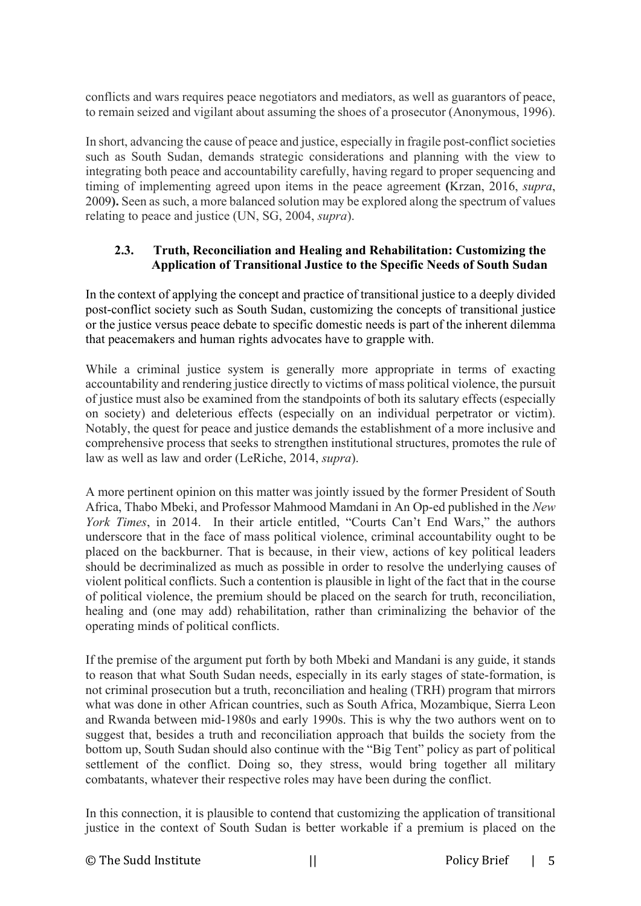conflicts and wars requires peace negotiators and mediators, as well as guarantors of peace, to remain seized and vigilant about assuming the shoes of a prosecutor (Anonymous, 1996).

In short, advancing the cause of peace and justice, especially in fragile post-conflict societies such as South Sudan, demands strategic considerations and planning with the view to integrating both peace and accountability carefully, having regard to proper sequencing and timing of implementing agreed upon items in the peace agreement **(**Krzan, 2016, *supra*, 2009**).** Seen as such, a more balanced solution may be explored along the spectrum of values relating to peace and justice (UN, SG, 2004, *supra*).

# **2.3. Truth, Reconciliation and Healing and Rehabilitation: Customizing the Application of Transitional Justice to the Specific Needs of South Sudan**

In the context of applying the concept and practice of transitional justice to a deeply divided post-conflict society such as South Sudan, customizing the concepts of transitional justice or the justice versus peace debate to specific domestic needs is part of the inherent dilemma that peacemakers and human rights advocates have to grapple with.

While a criminal justice system is generally more appropriate in terms of exacting accountability and rendering justice directly to victims of mass political violence, the pursuit of justice must also be examined from the standpoints of both its salutary effects (especially on society) and deleterious effects (especially on an individual perpetrator or victim). Notably, the quest for peace and justice demands the establishment of a more inclusive and comprehensive process that seeks to strengthen institutional structures, promotes the rule of law as well as law and order (LeRiche, 2014, *supra*).

A more pertinent opinion on this matter was jointly issued by the former President of South Africa, Thabo Mbeki, and Professor Mahmood Mamdani in An Op-ed published in the *New York Times*, in 2014. In their article entitled, "Courts Can't End Wars," the authors underscore that in the face of mass political violence, criminal accountability ought to be placed on the backburner. That is because, in their view, actions of key political leaders should be decriminalized as much as possible in order to resolve the underlying causes of violent political conflicts. Such a contention is plausible in light of the fact that in the course of political violence, the premium should be placed on the search for truth, reconciliation, healing and (one may add) rehabilitation, rather than criminalizing the behavior of the operating minds of political conflicts.

If the premise of the argument put forth by both Mbeki and Mandani is any guide, it stands to reason that what South Sudan needs, especially in its early stages of state-formation, is not criminal prosecution but a truth, reconciliation and healing (TRH) program that mirrors what was done in other African countries, such as South Africa, Mozambique, Sierra Leon and Rwanda between mid-1980s and early 1990s. This is why the two authors went on to suggest that, besides a truth and reconciliation approach that builds the society from the bottom up, South Sudan should also continue with the "Big Tent" policy as part of political settlement of the conflict. Doing so, they stress, would bring together all military combatants, whatever their respective roles may have been during the conflict.

In this connection, it is plausible to contend that customizing the application of transitional justice in the context of South Sudan is better workable if a premium is placed on the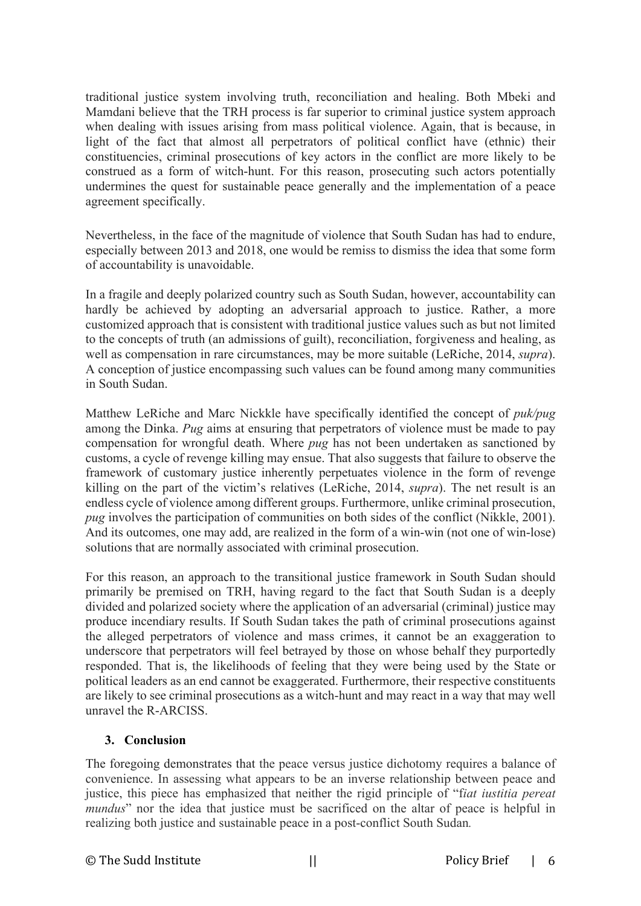traditional justice system involving truth, reconciliation and healing. Both Mbeki and Mamdani believe that the TRH process is far superior to criminal justice system approach when dealing with issues arising from mass political violence. Again, that is because, in light of the fact that almost all perpetrators of political conflict have (ethnic) their constituencies, criminal prosecutions of key actors in the conflict are more likely to be construed as a form of witch-hunt. For this reason, prosecuting such actors potentially undermines the quest for sustainable peace generally and the implementation of a peace agreement specifically.

Nevertheless, in the face of the magnitude of violence that South Sudan has had to endure, especially between 2013 and 2018, one would be remiss to dismiss the idea that some form of accountability is unavoidable.

In a fragile and deeply polarized country such as South Sudan, however, accountability can hardly be achieved by adopting an adversarial approach to justice. Rather, a more customized approach that is consistent with traditional justice values such as but not limited to the concepts of truth (an admissions of guilt), reconciliation, forgiveness and healing, as well as compensation in rare circumstances, may be more suitable (LeRiche, 2014, *supra*). A conception of justice encompassing such values can be found among many communities in South Sudan.

Matthew LeRiche and Marc Nickkle have specifically identified the concept of *puk/pug* among the Dinka. *Pug* aims at ensuring that perpetrators of violence must be made to pay compensation for wrongful death. Where *pug* has not been undertaken as sanctioned by customs, a cycle of revenge killing may ensue. That also suggests that failure to observe the framework of customary justice inherently perpetuates violence in the form of revenge killing on the part of the victim's relatives (LeRiche, 2014, *supra*). The net result is an endless cycle of violence among different groups. Furthermore, unlike criminal prosecution, *pug* involves the participation of communities on both sides of the conflict (Nikkle, 2001). And its outcomes, one may add, are realized in the form of a win-win (not one of win-lose) solutions that are normally associated with criminal prosecution.

For this reason, an approach to the transitional justice framework in South Sudan should primarily be premised on TRH, having regard to the fact that South Sudan is a deeply divided and polarized society where the application of an adversarial (criminal) justice may produce incendiary results. If South Sudan takes the path of criminal prosecutions against the alleged perpetrators of violence and mass crimes, it cannot be an exaggeration to underscore that perpetrators will feel betrayed by those on whose behalf they purportedly responded. That is, the likelihoods of feeling that they were being used by the State or political leaders as an end cannot be exaggerated. Furthermore, their respective constituents are likely to see criminal prosecutions as a witch-hunt and may react in a way that may well unravel the R-ARCISS.

## **3. Conclusion**

The foregoing demonstrates that the peace versus justice dichotomy requires a balance of convenience. In assessing what appears to be an inverse relationship between peace and justice, this piece has emphasized that neither the rigid principle of "f*iat iustitia pereat mundus*" nor the idea that justice must be sacrificed on the altar of peace is helpful in realizing both justice and sustainable peace in a post-conflict South Sudan*.*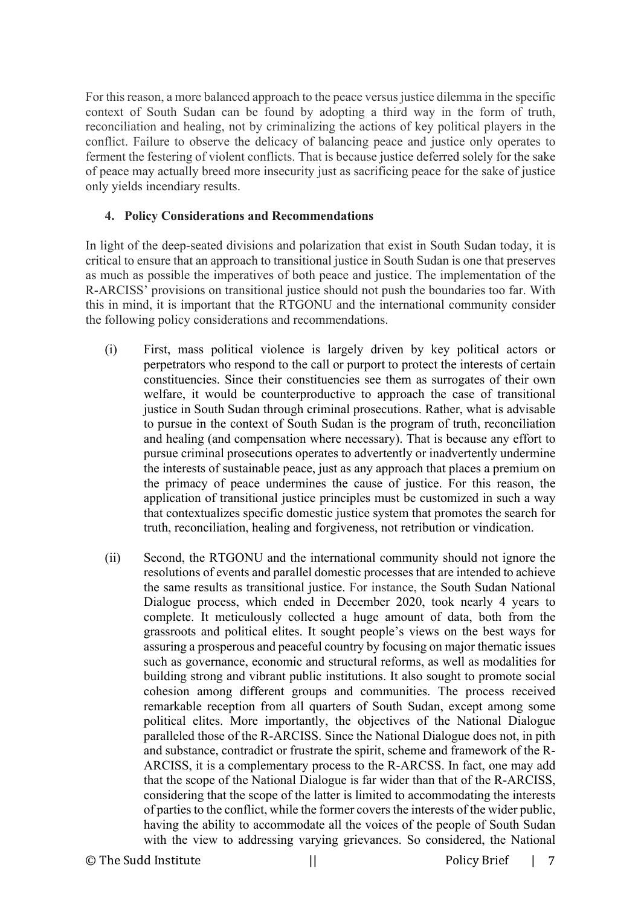For this reason, a more balanced approach to the peace versus justice dilemma in the specific context of South Sudan can be found by adopting a third way in the form of truth, reconciliation and healing, not by criminalizing the actions of key political players in the conflict. Failure to observe the delicacy of balancing peace and justice only operates to ferment the festering of violent conflicts. That is because justice deferred solely for the sake of peace may actually breed more insecurity just as sacrificing peace for the sake of justice only yields incendiary results.

### **4. Policy Considerations and Recommendations**

In light of the deep-seated divisions and polarization that exist in South Sudan today, it is critical to ensure that an approach to transitional justice in South Sudan is one that preserves as much as possible the imperatives of both peace and justice. The implementation of the R-ARCISS' provisions on transitional justice should not push the boundaries too far. With this in mind, it is important that the RTGONU and the international community consider the following policy considerations and recommendations.

- (i) First, mass political violence is largely driven by key political actors or perpetrators who respond to the call or purport to protect the interests of certain constituencies. Since their constituencies see them as surrogates of their own welfare, it would be counterproductive to approach the case of transitional justice in South Sudan through criminal prosecutions. Rather, what is advisable to pursue in the context of South Sudan is the program of truth, reconciliation and healing (and compensation where necessary). That is because any effort to pursue criminal prosecutions operates to advertently or inadvertently undermine the interests of sustainable peace, just as any approach that places a premium on the primacy of peace undermines the cause of justice. For this reason, the application of transitional justice principles must be customized in such a way that contextualizes specific domestic justice system that promotes the search for truth, reconciliation, healing and forgiveness, not retribution or vindication.
- (ii) Second, the RTGONU and the international community should not ignore the resolutions of events and parallel domestic processes that are intended to achieve the same results as transitional justice. For instance, the South Sudan National Dialogue process, which ended in December 2020, took nearly 4 years to complete. It meticulously collected a huge amount of data, both from the grassroots and political elites. It sought people's views on the best ways for assuring a prosperous and peaceful country by focusing on major thematic issues such as governance, economic and structural reforms, as well as modalities for building strong and vibrant public institutions. It also sought to promote social cohesion among different groups and communities. The process received remarkable reception from all quarters of South Sudan, except among some political elites. More importantly, the objectives of the National Dialogue paralleled those of the R-ARCISS. Since the National Dialogue does not, in pith and substance, contradict or frustrate the spirit, scheme and framework of the R-ARCISS, it is a complementary process to the R-ARCSS. In fact, one may add that the scope of the National Dialogue is far wider than that of the R-ARCISS, considering that the scope of the latter is limited to accommodating the interests of parties to the conflict, while the former covers the interests of the wider public, having the ability to accommodate all the voices of the people of South Sudan with the view to addressing varying grievances. So considered, the National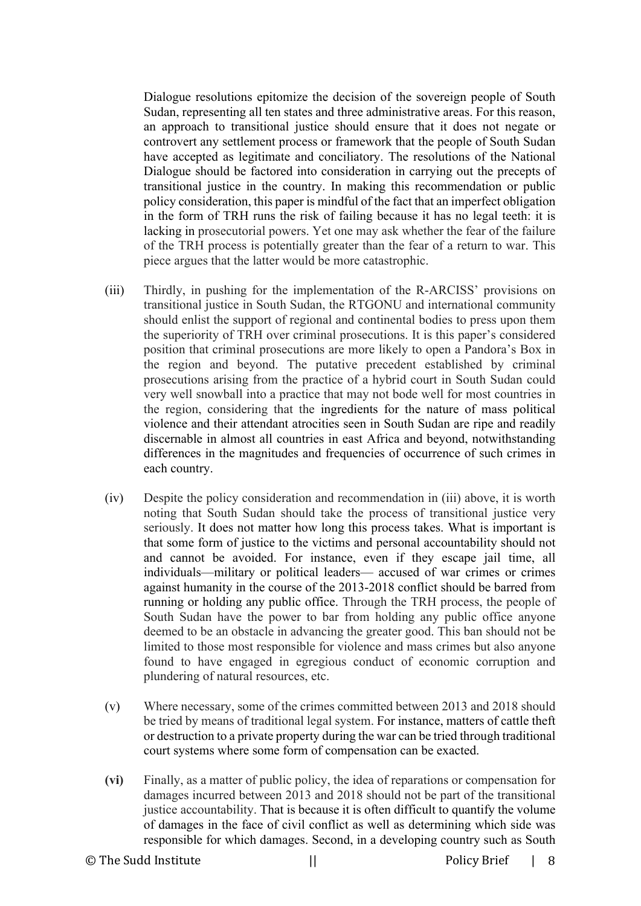Dialogue resolutions epitomize the decision of the sovereign people of South Sudan, representing all ten states and three administrative areas. For this reason, an approach to transitional justice should ensure that it does not negate or controvert any settlement process or framework that the people of South Sudan have accepted as legitimate and conciliatory. The resolutions of the National Dialogue should be factored into consideration in carrying out the precepts of transitional justice in the country. In making this recommendation or public policy consideration, this paper is mindful of the fact that an imperfect obligation in the form of TRH runs the risk of failing because it has no legal teeth: it is lacking in prosecutorial powers. Yet one may ask whether the fear of the failure of the TRH process is potentially greater than the fear of a return to war. This piece argues that the latter would be more catastrophic.

- (iii) Thirdly, in pushing for the implementation of the R-ARCISS' provisions on transitional justice in South Sudan, the RTGONU and international community should enlist the support of regional and continental bodies to press upon them the superiority of TRH over criminal prosecutions. It is this paper's considered position that criminal prosecutions are more likely to open a Pandora's Box in the region and beyond. The putative precedent established by criminal prosecutions arising from the practice of a hybrid court in South Sudan could very well snowball into a practice that may not bode well for most countries in the region, considering that the ingredients for the nature of mass political violence and their attendant atrocities seen in South Sudan are ripe and readily discernable in almost all countries in east Africa and beyond, notwithstanding differences in the magnitudes and frequencies of occurrence of such crimes in each country.
- (iv) Despite the policy consideration and recommendation in (iii) above, it is worth noting that South Sudan should take the process of transitional justice very seriously. It does not matter how long this process takes. What is important is that some form of justice to the victims and personal accountability should not and cannot be avoided. For instance, even if they escape jail time, all individuals—military or political leaders— accused of war crimes or crimes against humanity in the course of the 2013-2018 conflict should be barred from running or holding any public office. Through the TRH process, the people of South Sudan have the power to bar from holding any public office anyone deemed to be an obstacle in advancing the greater good. This ban should not be limited to those most responsible for violence and mass crimes but also anyone found to have engaged in egregious conduct of economic corruption and plundering of natural resources, etc.
- (v) Where necessary, some of the crimes committed between 2013 and 2018 should be tried by means of traditional legal system. For instance, matters of cattle theft or destruction to a private property during the war can be tried through traditional court systems where some form of compensation can be exacted.
- **(vi)** Finally, as a matter of public policy, the idea of reparations or compensation for damages incurred between 2013 and 2018 should not be part of the transitional justice accountability. That is because it is often difficult to quantify the volume of damages in the face of civil conflict as well as determining which side was responsible for which damages. Second, in a developing country such as South
- © The Sudd Institute || Policy Brief | 8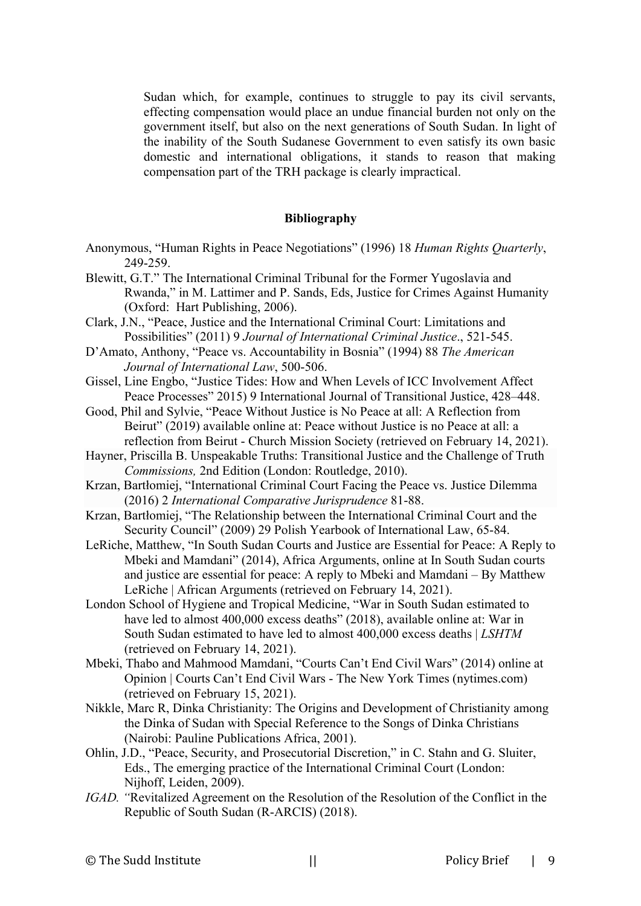Sudan which, for example, continues to struggle to pay its civil servants, effecting compensation would place an undue financial burden not only on the government itself, but also on the next generations of South Sudan. In light of the inability of the South Sudanese Government to even satisfy its own basic domestic and international obligations, it stands to reason that making compensation part of the TRH package is clearly impractical.

#### **Bibliography**

- Anonymous, "Human Rights in Peace Negotiations" (1996) 18 *Human Rights Quarterly*, 249-259.
- Blewitt, G.T." The International Criminal Tribunal for the Former Yugoslavia and Rwanda," in M. Lattimer and P. Sands, Eds, Justice for Crimes Against Humanity (Oxford: Hart Publishing, 2006).
- Clark, J.N., "Peace, Justice and the International Criminal Court: Limitations and Possibilities" (2011) 9 *Journal of International Criminal Justice*., 521-545.
- D'Amato, Anthony, "Peace vs. Accountability in Bosnia" (1994) 88 *The American Journal of International Law*, 500-506.
- Gissel, Line Engbo, "Justice Tides: How and When Levels of ICC Involvement Affect Peace Processes" 2015) 9 International Journal of Transitional Justice, 428–448.
- Good, Phil and Sylvie, "Peace Without Justice is No Peace at all: A Reflection from Beirut" (2019) available online at: Peace without Justice is no Peace at all: a reflection from Beirut - Church Mission Society (retrieved on February 14, 2021).
- Hayner, Priscilla B. Unspeakable Truths: Transitional Justice and the Challenge of Truth *Commissions,* 2nd Edition (London: Routledge, 2010).
- Krzan, Bartłomiej, "International Criminal Court Facing the Peace vs. Justice Dilemma (2016) 2 *International Comparative Jurisprudence* 81-88.
- Krzan, Bartłomiej, "The Relationship between the International Criminal Court and the Security Council" (2009) 29 Polish Yearbook of International Law, 65-84.
- LeRiche, Matthew, "In South Sudan Courts and Justice are Essential for Peace: A Reply to Mbeki and Mamdani" (2014), Africa Arguments, online at In South Sudan courts and justice are essential for peace: A reply to Mbeki and Mamdani – By Matthew LeRiche | African Arguments (retrieved on February 14, 2021).
- London School of Hygiene and Tropical Medicine, "War in South Sudan estimated to have led to almost 400,000 excess deaths" (2018), available online at: War in South Sudan estimated to have led to almost 400,000 excess deaths | *LSHTM*  (retrieved on February 14, 2021).
- Mbeki, Thabo and Mahmood Mamdani, "Courts Can't End Civil Wars" (2014) online at Opinion | Courts Can't End Civil Wars - The New York Times (nytimes.com) (retrieved on February 15, 2021).
- Nikkle, Marc R, Dinka Christianity: The Origins and Development of Christianity among the Dinka of Sudan with Special Reference to the Songs of Dinka Christians (Nairobi: Pauline Publications Africa, 2001).
- Ohlin, J.D., "Peace, Security, and Prosecutorial Discretion," in C. Stahn and G. Sluiter, Eds., The emerging practice of the International Criminal Court (London: Nijhoff, Leiden, 2009).
- *IGAD. "*Revitalized Agreement on the Resolution of the Resolution of the Conflict in the Republic of South Sudan (R-ARCIS) (2018).